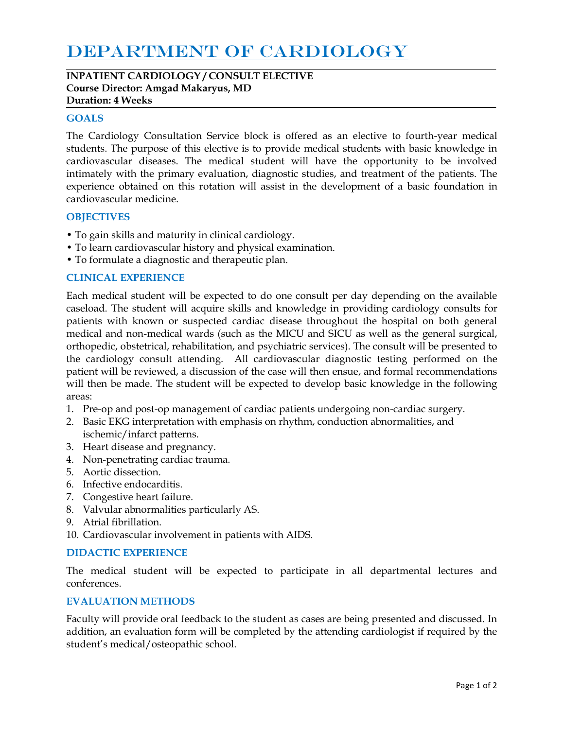# DEPARTMENT OF CARDIOLOGY

**INPATIENT CARDIOLOGY / CONSULT ELECTIVE Course Director: Amgad Makaryus, MD Duration: 4 Weeks**

## **GOALS**

The Cardiology Consultation Service block is offered as an elective to fourth-year medical students. The purpose of this elective is to provide medical students with basic knowledge in cardiovascular diseases. The medical student will have the opportunity to be involved intimately with the primary evaluation, diagnostic studies, and treatment of the patients. The experience obtained on this rotation will assist in the development of a basic foundation in cardiovascular medicine.

# **OBJECTIVES**

- To gain skills and maturity in clinical cardiology.
- To learn cardiovascular history and physical examination.
- To formulate a diagnostic and therapeutic plan.

# **CLINICAL EXPERIENCE**

Each medical student will be expected to do one consult per day depending on the available caseload. The student will acquire skills and knowledge in providing cardiology consults for patients with known or suspected cardiac disease throughout the hospital on both general medical and non-medical wards (such as the MICU and SICU as well as the general surgical, orthopedic, obstetrical, rehabilitation, and psychiatric services). The consult will be presented to the cardiology consult attending. All cardiovascular diagnostic testing performed on the patient will be reviewed, a discussion of the case will then ensue, and formal recommendations will then be made. The student will be expected to develop basic knowledge in the following areas:

- 1. Pre-op and post-op management of cardiac patients undergoing non-cardiac surgery.
- 2. Basic EKG interpretation with emphasis on rhythm, conduction abnormalities, and ischemic/infarct patterns.
- 3. Heart disease and pregnancy.
- 4. Non-penetrating cardiac trauma.
- 5. Aortic dissection.
- 6. Infective endocarditis.
- 7. Congestive heart failure.
- 8. Valvular abnormalities particularly AS.
- 9. Atrial fibrillation.
- 10. Cardiovascular involvement in patients with AIDS.

## **DIDACTIC EXPERIENCE**

The medical student will be expected to participate in all departmental lectures and conferences.

## **EVALUATION METHODS**

Faculty will provide oral feedback to the student as cases are being presented and discussed. In addition, an evaluation form will be completed by the attending cardiologist if required by the student's medical/osteopathic school.